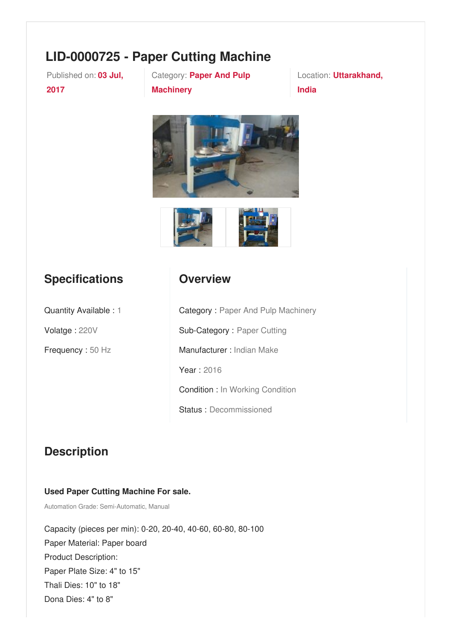# **LID-0000725 - Paper Cutting Machine**

Published on: **03 Jul, 2017**

Category: **Paper And Pulp Machinery**

Location: **Uttarakhand, India**





### **Specifications**

### **Overview**

Quantity Available : 1

Volatge : 220V

Frequency : 50 Hz

Category : Paper And Pulp Machinery Sub-Category : Paper Cutting Manufacturer : Indian Make Year : 2016 Condition : In Working Condition Status : Decommissioned

## **Description**

#### **Used Paper Cutting Machine For sale.**

Automation Grade: Semi-Automatic, Manual

Capacity (pieces per min): 0-20, 20-40, 40-60, 60-80, 80-100 Paper Material: Paper board Product Description: Paper Plate Size: 4" to 15" Thali Dies: 10" to 18" Dona Dies: 4" to 8"